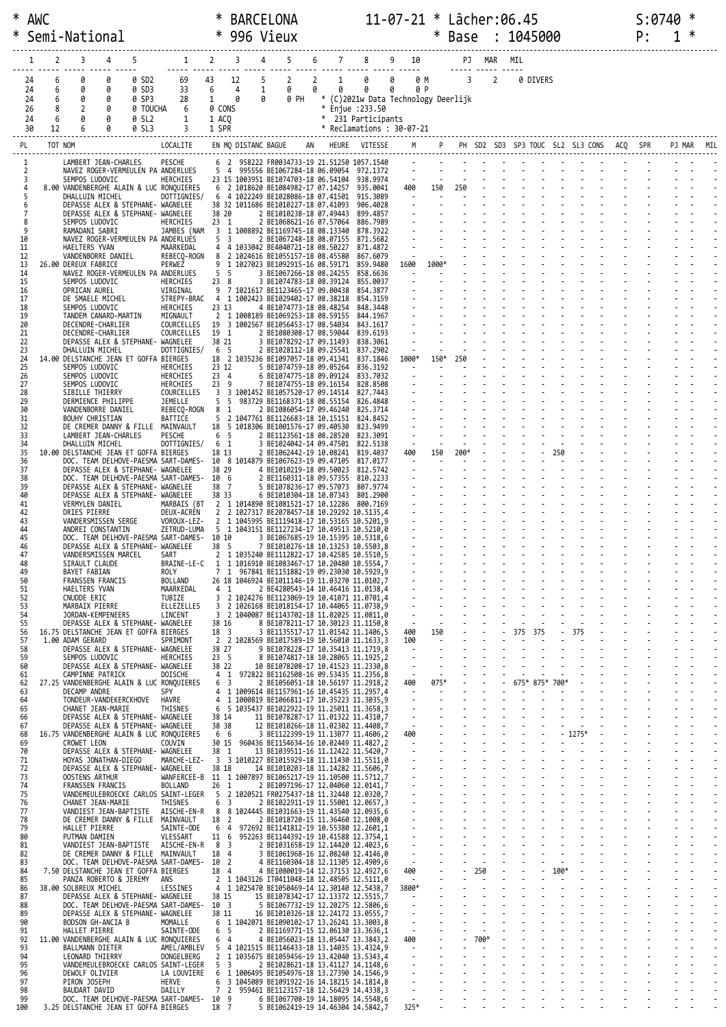| $\ast$<br>∗         | AWC                  |                  | Semi-National                                                               |                  |                                     |                                                                                                                                                            | ∗<br>∗                   |                     | <b>BARCELONA</b><br>996 Vieux                                                                                                                                                                                                                                                                                                           |   |                             |                                                                 | $11 - 07 - 21 *$ Lâcher:06.45 |            | ∗     | Base           |            |                | : 1045000 |                                            |  | S:0740<br>P: | ∗ |  |
|---------------------|----------------------|------------------|-----------------------------------------------------------------------------|------------------|-------------------------------------|------------------------------------------------------------------------------------------------------------------------------------------------------------|--------------------------|---------------------|-----------------------------------------------------------------------------------------------------------------------------------------------------------------------------------------------------------------------------------------------------------------------------------------------------------------------------------------|---|-----------------------------|-----------------------------------------------------------------|-------------------------------|------------|-------|----------------|------------|----------------|-----------|--------------------------------------------|--|--------------|---|--|
|                     |                      | 2                | 3                                                                           | 4                |                                     | $\mathbf{1}$                                                                                                                                               | $\overline{2}$           | 3                   | 5                                                                                                                                                                                                                                                                                                                                       | 6 |                             |                                                                 | 9 10                          |            |       |                | PJ MAR MIL |                |           |                                            |  |              |   |  |
|                     | 24<br>24<br>24<br>26 | 6<br>6<br>6<br>8 | 0<br>Ø<br>0<br>2                                                            | 0<br>0<br>0<br>0 | 0 SD2<br>0 SD3<br>0 SP3<br>0 TOUCHA | 69<br>33<br>28<br>6                                                                                                                                        | 43<br>6<br>1<br>0 CONS   | 12<br>4<br>0        | $\overline{2}$<br>5<br>0<br>1<br>0<br>0 PH                                                                                                                                                                                                                                                                                              | 2 | $\mathbf{1}$<br>0<br>$\ast$ | 0<br>0<br>* (C)2021w Data Technology Deerlijk<br>Enjue : 233.50 | 0<br>0                        | 0 M<br>0 P |       | $\overline{3}$ |            | $\overline{2}$ | 0 DIVERS  |                                            |  |              |   |  |
|                     | 24<br>30             | 6<br>12          | Ø<br>6                                                                      | 0                | 0 SL2<br>0 SL3                      | 1                                                                                                                                                          | 1 ACQ<br>1 SPR           |                     |                                                                                                                                                                                                                                                                                                                                         |   |                             | * 231 Participants<br>* Reclamations: 30-07-21                  |                               |            |       |                |            |                |           |                                            |  |              |   |  |
| PL                  |                      | TOT NOM          |                                                                             |                  |                                     | LOCALITE                                                                                                                                                   |                          | EN MQ DISTANC BAGUE |                                                                                                                                                                                                                                                                                                                                         |   |                             | HEURE VITESSE                                                   |                               |            |       |                |            |                |           | PH SD2 SD3 SP3 TOUC SL2 SL3 CONS ACQ       |  |              |   |  |
| 1                   |                      |                  | LAMBERT JEAN-CHARLES                                                        |                  |                                     | PESCHE                                                                                                                                                     |                          |                     | 6 2 958222 FR0034733-19 21.51250 1057.1540                                                                                                                                                                                                                                                                                              |   |                             |                                                                 |                               |            |       |                |            |                |           |                                            |  |              |   |  |
|                     | 2<br>3               |                  | NAVEZ ROGER-VERMEULEN PA ANDERLUES<br>SEMPOS LUDOVIC                        |                  |                                     | HERCHIES                                                                                                                                                   |                          |                     | 5 4 995556 BE1067284-18 06.09054 972.1372<br>23 15 1003951 BE1074703-18 06.54104                                                                                                                                                                                                                                                        |   |                             | 938,9974                                                        | $\frac{1}{2}$                 |            |       |                |            |                |           |                                            |  |              |   |  |
| 4<br>5              |                      |                  | DHALLUIN MICHEL                                                             |                  |                                     | 8.00 VANDENBERGHE ALAIN & LUC RONQUIERES<br>DOTTIGNIES/                                                                                                    | 6                        |                     | 6 2 1018620 BE1084982-17 07.14257<br>4 1022249 BE1028086-18 07.41501                                                                                                                                                                                                                                                                    |   |                             | 935.0041<br>915.3089                                            | 400<br>$\sim$ $-$             |            | 150   | 250            |            |                |           |                                            |  |              |   |  |
| 6<br>$\overline{7}$ |                      |                  | DEPASSE ALEX & STEPHANE- WAGNELEE<br>DEPASSE ALEX & STEPHANE- WAGNELEE      |                  |                                     |                                                                                                                                                            | 38 20                    |                     | 38 32 1011686 BE1010227-18 07.41093<br>2 BE1010238-18 07.49443                                                                                                                                                                                                                                                                          |   |                             | 906.4028<br>899.4857                                            |                               |            |       |                |            |                |           |                                            |  |              |   |  |
| 9                   | 8                    |                  | SEMPOS LUDOVIC<br>RAMADANI SABRI                                            |                  |                                     | HERCHIES<br>JAMBES (NAM                                                                                                                                    | 23 1                     |                     | 2 BE1068621-16 07.57064<br>3 1 1008892 BE1169745-18 08.13340                                                                                                                                                                                                                                                                            |   |                             | 886.7989<br>878.3922                                            |                               |            |       |                |            |                |           |                                            |  |              |   |  |
| 10<br>11            |                      |                  | NAVEZ ROGER-VERMEULEN PA ANDERLUES<br>HAELTERS YVAN                         |                  |                                     | MAARKEDAL                                                                                                                                                  | 5 3                      |                     | 2 BE1067248-18 08.07155<br>4 4 1033042 BE4040721-18 08.50227                                                                                                                                                                                                                                                                            |   |                             | 871.5682<br>871.4872                                            |                               |            |       |                |            |                |           |                                            |  |              |   |  |
| 12<br>13            |                      |                  | VANDENBORRE DANIEL<br>26.00 DEREUX FABRICE                                  |                  |                                     | REBECQ-ROGN<br>PERWEZ                                                                                                                                      | 8<br>9                   |                     | 2 1024616 BE1055157-18 08.45580<br>1 1027023 BE1092915-16 08.59171                                                                                                                                                                                                                                                                      |   |                             | 867,6079<br>859.9480                                            | 1600                          |            | 1000* |                |            |                |           |                                            |  |              |   |  |
| 14<br>15            |                      |                  | NAVEZ ROGER-VERMEULEN PA ANDERLUES<br>SEMPOS LUDOVIC                        |                  |                                     | <b>HERCHIES</b>                                                                                                                                            | 5<br>23 8                | 5                   | 3 BE1067266-18 08.24255<br>3 BE1074783-18 08.39124                                                                                                                                                                                                                                                                                      |   |                             | 858.6636<br>855.0037                                            |                               |            |       |                |            |                |           |                                            |  |              |   |  |
| 16<br>17            |                      |                  | OPRICAN AUREL<br>DE SMAELE MICHEL                                           |                  |                                     | VIRGINAL<br>STREPY-BRAC                                                                                                                                    | 9                        |                     | 7 1021617 BE1123465-17 09.00438<br>4 1 1002423 BE1029402-17 08.38218                                                                                                                                                                                                                                                                    |   |                             | 854.3877<br>854.3159                                            |                               |            |       |                |            |                |           |                                            |  |              |   |  |
| 18<br>19            |                      |                  | SEMPOS LUDOVIC<br>TANDEM CANARD-MARTIN                                      |                  |                                     | HERCHIES<br>MIGNAULT                                                                                                                                       | 23 13<br>2               |                     | 4 BE1074773-18 08.48254<br>1 1008189 BE1069253-18 08.59155                                                                                                                                                                                                                                                                              |   |                             | 848.3448<br>844.1967                                            |                               |            |       |                |            |                |           |                                            |  |              |   |  |
| 20<br>21            |                      |                  | DECENDRE-CHARLIER<br>DECENDRE-CHARLIER                                      |                  |                                     | COURCELLES<br>COURCELLES                                                                                                                                   | 19<br>19 1               |                     | 3 1002567 BE1056453-17 08.54034<br>2 BE1080308-17 08.59044                                                                                                                                                                                                                                                                              |   |                             | 843.1617<br>839.6193                                            |                               |            |       |                |            |                |           |                                            |  |              |   |  |
| 22<br>23            |                      |                  | DEPASSE ALEX & STEPHANE- WAGNELEE<br>DHALLUIN MICHEL                        |                  |                                     | DOTTIGNIES/                                                                                                                                                | 38 21<br>6               | -5                  | 3 BE1078292-17 09.11493<br>2 BE1028112-18 09.25541                                                                                                                                                                                                                                                                                      |   |                             | 838.3061<br>837.2902                                            |                               |            |       |                |            |                |           |                                            |  |              |   |  |
| 24<br>25            |                      |                  | 14.00 DELSTANCHE JEAN ET GOFFA BIERGES<br>SEMPOS LUDOVIC                    |                  |                                     | HERCHIES                                                                                                                                                   | 23 12                    |                     | 18 2 1035236 BE1097057-18 09.41341<br>5 BE1074759-18 09.05264                                                                                                                                                                                                                                                                           |   |                             | 837.1846<br>836.3192                                            | 1000*                         |            | 150*  |                |            |                |           |                                            |  |              |   |  |
| 26<br>27<br>28      |                      |                  | SEMPOS LUDOVIC<br>SEMPOS LUDOVIC                                            |                  |                                     | HERCHIES<br>HERCHIES<br>COURCELLES                                                                                                                         | 23 4<br>23 9             |                     | 6 BE1074775-18 09.09124<br>7 BE1074755-18 09.16154<br>3 3 1001452 BE1057520-17 09.14514                                                                                                                                                                                                                                                 |   |                             | 833.7032<br>828.8508<br>827.7443                                |                               |            |       |                |            |                |           |                                            |  |              |   |  |
| 29<br>30            |                      |                  | SIBILLE THIERRY<br>DERMIENCE PHILIPPE                                       |                  |                                     | JEMELLE                                                                                                                                                    | 5<br>8                   | 5<br>1              | 983729 BE1168371-18 08.55154                                                                                                                                                                                                                                                                                                            |   |                             | 826.4848<br>825.3714                                            |                               |            |       |                |            |                |           |                                            |  |              |   |  |
| 31<br>32            |                      |                  | VANDENBORRE DANIEL<br>BOUHY CHRISTIAN                                       |                  |                                     | REBECQ-ROGN<br>BATTICE<br>MAINVAULT                                                                                                                        | 5<br>18                  | $\overline{2}$      | 2 BE1086054-17 09.46240<br>1047761 BE1126683-18 10.15151<br>5 1018306 BE1001576-17 09.40530                                                                                                                                                                                                                                             |   |                             | 824.8452<br>823.9499                                            |                               |            |       |                |            |                |           |                                            |  |              |   |  |
| 33<br>34            |                      |                  | DE CREMER DANNY & FILLE<br>LAMBERT JEAN-CHARLES<br>DHALLUIN MICHEL          |                  |                                     | PESCHE<br>DOTTIGNIES/                                                                                                                                      | 6<br>6                   | -5<br>-1            | 2 BE1123561-18 08.28520<br>3 BE1024042-14 09.47501                                                                                                                                                                                                                                                                                      |   |                             | 823.3091<br>822.5138                                            |                               |            |       |                |            |                |           |                                            |  |              |   |  |
| 35<br>36            |                      |                  | 10.00 DELSTANCHE JEAN ET GOFFA BIERGES                                      |                  |                                     | DOC. TEAM DELHOVE-PAESMA SART-DAMES- 10 8 1014879 BE1067623-19 09.47105                                                                                    | 18 13                    |                     | 2 BE1062442-19 10.08241                                                                                                                                                                                                                                                                                                                 |   |                             | 819.4037<br>817,0177                                            | 400                           |            | 150   | 200*           |            |                |           |                                            |  |              |   |  |
| 37<br>38            |                      |                  | DEPASSE ALEX & STEPHANE- WAGNELEE                                           |                  |                                     | DOC. TEAM DELHOVE-PAESMA SART-DAMES- 10 6                                                                                                                  | 38 29                    |                     | 4 BE1010219-18 09.50023<br>2 BE1160311-18 09.57355                                                                                                                                                                                                                                                                                      |   |                             | 812.5742<br>810.2233                                            |                               |            |       |                |            |                |           |                                            |  |              |   |  |
| 39<br>40            |                      |                  | DEPASSE ALEX & STEPHANE- WAGNELEE<br>DEPASSE ALEX & STEPHANE- WAGNELEE      |                  |                                     |                                                                                                                                                            | 38 7<br>38 33            |                     | 5 BE1078236-17 09.57073<br>6 BE1010304-18 10.07343                                                                                                                                                                                                                                                                                      |   |                             | 807.9774<br>801.2900                                            |                               |            |       |                |            |                |           |                                            |  |              |   |  |
| 41<br>42            |                      |                  | VERMYLEN DANIEL<br>DRIES PIERRE                                             |                  |                                     | MARBAIS (BT<br>DEUX-ACREN                                                                                                                                  | $\overline{2}$           |                     | 2 1 1014890 BE1081521-17 10.12286<br>2 1027317 BE2078457-18 10.29292 10.5135,4                                                                                                                                                                                                                                                          |   |                             | 800.7169                                                        |                               |            |       |                |            |                |           |                                            |  |              |   |  |
| 43<br>44            |                      |                  | VANDERSMISSEN SERGE<br>ANDREI CONSTANTIN                                    |                  |                                     | VOROUX-LEZ-<br>ZETRUD-LUMA                                                                                                                                 | $\overline{2}$           |                     | 1 1045995 BE1119418-17 10.53165 10.5201,9<br>5 1 1043151 BE1127234-17 10.49513 10.5210,0                                                                                                                                                                                                                                                |   |                             |                                                                 |                               |            |       |                |            |                |           |                                            |  |              |   |  |
| 45<br>46            |                      |                  | DEPASSE ALEX & STEPHANE- WAGNELEE                                           |                  |                                     | DOC. TEAM DELHOVE-PAESMA SART-DAMES- 10 10                                                                                                                 | 38 5                     |                     | 3 BE1067685-19 10.15395 10.5318,6<br>7 BE1010276-18 10.13253 10.5503,8                                                                                                                                                                                                                                                                  |   |                             |                                                                 |                               |            |       |                |            |                |           |                                            |  |              |   |  |
| 48                  |                      |                  | VANDERSMISSEN MARCEL<br>SIRAULT CLAUDE                                      |                  |                                     | <b>SARI</b><br>BRAINE-LE-C 1 1 1016910 BE1083467-17 10.20480 10.5554,7                                                                                     |                          |                     | 2 1 1035240 BE1112822-17 10.42585 10.5510,5                                                                                                                                                                                                                                                                                             |   |                             |                                                                 |                               |            |       |                |            |                |           |                                            |  |              |   |  |
| 49<br>50            |                      |                  | BAYET FABIAN<br>FRANSSEN FRANCIS                                            |                  |                                     | ROLY<br>BOLLAND                                                                                                                                            |                          |                     | 7 1 967841 BE1151882-19 09.23030 10.5929.9<br>26 18 1046924 BE1011146-19 11.03270 11.0102,7                                                                                                                                                                                                                                             |   |                             |                                                                 |                               |            |       |                |            |                |           |                                            |  |              |   |  |
| 51<br>52            |                      |                  | HAELTERS YVAN<br>CNUDDE ERIC                                                |                  |                                     | MAARKEDAL<br>TUBIZE                                                                                                                                        | 4 1                      |                     | 2 BE4280543-14 10.46416 11.0138,4<br>3 2 1024276 BE1123069-19 10.41071 11.0701,4                                                                                                                                                                                                                                                        |   |                             |                                                                 |                               |            |       |                |            |                |           |                                            |  |              |   |  |
| 53<br>54            |                      |                  | MARBAIX PIERRE<br>JORDAN-KEMPENEERS                                         |                  |                                     | ELLEZELLES<br>LINCENT                                                                                                                                      |                          |                     | 3 2 1026168 BE1018154-17 10.44065 11.0738,9<br>3 2 1040087 BE1143702-18 11.02025 11.0811,0                                                                                                                                                                                                                                              |   |                             |                                                                 |                               |            |       |                |            |                |           |                                            |  |              |   |  |
| 55<br>56            |                      |                  | DEPASSE ALEX & STEPHANE- WAGNELEE<br>16.75 DELSTANCHE JEAN ET GOFFA BIERGES |                  |                                     |                                                                                                                                                            | 38 16<br>18 3            |                     | 8 BE1078211-17 10.30123 11.1150,8<br>3 BE1135517-17 11.01542 11.1406,5                                                                                                                                                                                                                                                                  |   |                             |                                                                 |                               |            |       |                |            |                |           |                                            |  |              |   |  |
| 57<br>58            |                      |                  | 1.00 ADAM GERARD<br>DEPASSE ALEX & STEPHANE- WAGNELEE                       |                  |                                     | SPRIMONT                                                                                                                                                   | 38 27                    |                     | 2 2 1028569 BE1017589-19 10.56010 11.1633,3<br>9 BE1078228-17 10.35413 11.1719,8                                                                                                                                                                                                                                                        |   |                             |                                                                 |                               |            |       |                |            |                |           | <u>Mandalus and a series of the series</u> |  |              |   |  |
| 59<br>60            |                      |                  | SEMPOS LUDOVIC<br>DEPASSE ALEX & STEPHANE- WAGNELEE                         |                  |                                     | HERCHIES                                                                                                                                                   | 23 <sub>5</sub><br>38 22 |                     |                                                                                                                                                                                                                                                                                                                                         |   |                             |                                                                 |                               |            |       |                |            |                |           |                                            |  |              |   |  |
| 61<br>62            |                      |                  | CAMPINNE PATRICK                                                            |                  |                                     | DOISCHE<br>27.25 VANDENBERGHE ALAIN & LUC RONQUIERES                                                                                                       | 6 <sub>3</sub>           |                     | 4 1 972822 BE1162508-16 09.53435 11.2356.8                                                                                                                                                                                                                                                                                              |   |                             |                                                                 |                               |            |       |                |            |                |           |                                            |  |              |   |  |
| 63<br>64            |                      |                  | DECAMP ANDRE<br>TONDEUR-VANDEKERCKHOVE                                      |                  |                                     | <b>SPY</b><br>HAVRE                                                                                                                                        |                          |                     | 4 1 1009614 BE1157961-16 10.45435 11.2957,4<br>4 1 1000819 BE1066811-17 10.35223 11.3035,9                                                                                                                                                                                                                                              |   |                             |                                                                 |                               |            |       |                |            |                |           |                                            |  |              |   |  |
| 65<br>66            |                      |                  | CHANET JEAN-MARIE<br>DEPASSE ALEX & STEPHANE- WAGNELEE                      |                  |                                     | THISNES                                                                                                                                                    |                          | 38 14               | 6 5 1035437 BE1022922-19 11.25011 11.3658,3                                                                                                                                                                                                                                                                                             |   |                             |                                                                 |                               |            |       |                |            |                |           |                                            |  |              |   |  |
| 67<br>68            |                      |                  | DEPASSE ALEX & STEPHANE- WAGNELEE                                           |                  |                                     | 16.75 VANDENBERGHE ALAIN & LUC RONQUIERES 6 6 3 BE1122399-19 11.13077 11.4606,2                                                                            | 38 38                    |                     |                                                                                                                                                                                                                                                                                                                                         |   |                             |                                                                 |                               |            |       |                |            |                |           |                                            |  |              |   |  |
| 69<br>70            |                      |                  | CROWET LEON<br>DEPASSE ALEX & STEPHANE- WAGNELEE                            |                  |                                     | COUVIN                                                                                                                                                     |                          |                     | 30 15 960436 BE1154634-16 10.02449 11.4827,2<br>38 1 13 BE1039511-16 11.12422 11.5420,7                                                                                                                                                                                                                                                 |   |                             |                                                                 |                               |            |       |                |            |                |           |                                            |  |              |   |  |
| 71<br>72            |                      |                  | HOYAS JONATHAN-DIEGO                                                        |                  |                                     | MARCHE-LEZ- 3 3 1010227 BE1015929-18 11.11430 11.5511,0<br>DEPASSE ALEX & STEPHANE- WAGNELEE                                                               | 38 18                    |                     |                                                                                                                                                                                                                                                                                                                                         |   |                             |                                                                 |                               |            |       |                |            |                |           |                                            |  |              |   |  |
| 73<br>74            |                      |                  | OOSTENS ARTHUR<br>FRANSSEN FRANCIS                                          |                  |                                     | WANFERCEE-B 11 1 1007897 BE1065217-19 11.10500 11.5712,7<br>BOLLAND                                                                                        |                          |                     | 26 1 2 BE1097196-17 12.04060 12.0141,7                                                                                                                                                                                                                                                                                                  |   |                             |                                                                 |                               |            |       |                |            |                |           |                                            |  |              |   |  |
| 75<br>76            |                      |                  | CHANET JEAN-MARIE                                                           |                  |                                     | VANDEMEULEBROECKE CARLOS SAINT-LEGER 5 2 1020521 FR0275437-18 11.32448 12.0320,7<br>THISNES                                                                |                          |                     | 6 3 2 BE1022911-19 11.55001 12.0657,3                                                                                                                                                                                                                                                                                                   |   |                             |                                                                 |                               |            |       |                |            |                |           |                                            |  |              |   |  |
| 77<br>78            |                      |                  |                                                                             |                  |                                     | VANDIEST JEAN-BAPTISTE AISCHE-EN-R 8 8 1024445 BE1031663-19 11.43540 12.0935,6<br>DE CREMER DANNY & FILLE MAINVAULT 18 2 2 BE1018720-15 11.36460 12.1008,0 |                          |                     |                                                                                                                                                                                                                                                                                                                                         |   |                             |                                                                 |                               |            |       |                |            |                |           |                                            |  |              |   |  |
| 79<br>80            |                      |                  | HALLET PIERRE<br>PUTMAN DAMIEN                                              |                  |                                     | SAINTE-ODE 6 4 972692 BE1141812-19 10.55380 12.2601,1<br>VLESSART                                                                                          |                          |                     | 11 6 952263 BE1144392-19 10.41588 12.3754,1                                                                                                                                                                                                                                                                                             |   |                             |                                                                 |                               |            |       |                |            |                |           |                                            |  |              |   |  |
| 81<br>82            |                      |                  |                                                                             |                  |                                     | VANDIEST JEAN-BAPTISTE AISCHE-EN-R 8 3 2 BE1031658-19 12.14420 12.4023,6<br>DE CREMER DANNY & FILLE MAINVAULT 18 4                                         |                          |                     |                                                                                                                                                                                                                                                                                                                                         |   |                             |                                                                 |                               |            |       |                |            |                |           |                                            |  |              |   |  |
| 83<br>84            |                      |                  | 7.50 DELSTANCHE JEAN ET GOFFA BIERGES                                       |                  |                                     | DOC. TEAM DELHOVE-PAESMA SART-DAMES- 10 2                                                                                                                  |                          | 18 4                |                                                                                                                                                                                                                                                                                                                                         |   |                             |                                                                 |                               |            |       |                |            |                |           |                                            |  |              |   |  |
| 85<br>86            |                      |                  | PANZA ROBERTO & JEREMY ANS<br>38.00 SOLBREUX MICHEL                         |                  |                                     | LESSINES                                                                                                                                                   |                          |                     | 3 861135517-17 11.61344 11.4866, 366<br>8869 816187538-17 11.616465 369<br>8868 816187538-17 11.61533, 366<br>886186282-17 18.48523 11.2395, 8<br>886186282-17 12.48523 11.2395, 8<br>886186861-18 10.46139 11.12935, 8<br>8962 816187838<br>2 1 1043126 IT0411048-18 12.48505 12.5111,0<br>4 1 1025470 BE1050469-14 12.30140 12.5438,7 |   |                             |                                                                 |                               |            |       |                |            |                |           |                                            |  |              |   |  |
| 87<br>88            |                      |                  | DEPASSE ALEX & STEPHANE- WAGNELEE                                           |                  |                                     | DOC. TEAM DELHOVE-PAESMA SART-DAMES- 10 3                                                                                                                  | 38 15                    |                     |                                                                                                                                                                                                                                                                                                                                         |   |                             |                                                                 |                               |            |       |                |            |                |           |                                            |  |              |   |  |
| 89<br>90            |                      |                  | DEPASSE ALEX & STEPHANE- WAGNELEE<br>BODSON GH-ANCIA B                      |                  |                                     | MOMALLE                                                                                                                                                    | 38 11                    |                     | 6 1 1042071 BE1090102-17 13.26241 13.3003,8                                                                                                                                                                                                                                                                                             |   |                             |                                                                 |                               |            |       |                |            |                |           |                                            |  |              |   |  |
| 91<br>92            |                      |                  | HALLET PIERRE                                                               |                  |                                     | SAINTE-ODE<br>11.00 VANDENBERGHE ALAIN & LUC RONQUIERES                                                                                                    | 6 <sub>4</sub>           | 6 5                 |                                                                                                                                                                                                                                                                                                                                         |   |                             |                                                                 |                               |            |       |                |            |                |           |                                            |  |              |   |  |
| 93<br>94            |                      |                  | BALLMANN DIETER<br>LEONARD THIERRY                                          |                  |                                     | AMEL/AMBLEV 5 4 1021515 BE1146433-18 13.14035 13.4324,9<br>DONGELBERG                                                                                      |                          |                     | 2 1 1035675 BE1059456-19 13.42040 13.5343,4                                                                                                                                                                                                                                                                                             |   |                             |                                                                 |                               |            |       |                |            |                |           |                                            |  |              |   |  |
| 95<br>96            |                      |                  | DEWOLF OLIVIER                                                              |                  |                                     | VANDEMEULEBROECKE CARLOS SAINT-LEGER<br>LA LOUVIERE 6 1 1006495 BE1054976-18 13.27390 14.1546,9                                                            |                          | 5 <sup>3</sup>      |                                                                                                                                                                                                                                                                                                                                         |   |                             |                                                                 |                               |            |       |                |            |                |           |                                            |  |              |   |  |
| 97<br>98            |                      |                  | PIRON JOSEPH<br>BAUDART DAVID                                               |                  |                                     | <b>HERVE</b><br>DAILLY                                                                                                                                     |                          |                     | 6 3 1045089 BE1091922-16 14.18215 14.1814,8<br>7 2 959461 BE1123157-18 12.56429 14.4338,3                                                                                                                                                                                                                                               |   |                             |                                                                 |                               |            |       |                |            |                |           |                                            |  |              |   |  |
| 99<br>100           |                      |                  |                                                                             |                  |                                     | DOC. TEAM DELHOVE-PAESMA SART-DAMES- 10 9<br>3.25 DELSTANCHE JEAN ET GOFFA BIERGES 18 7 5 BE1062419-19 14.46304 14.5842,7                                  |                          |                     |                                                                                                                                                                                                                                                                                                                                         |   |                             |                                                                 |                               |            |       |                |            |                |           |                                            |  |              |   |  |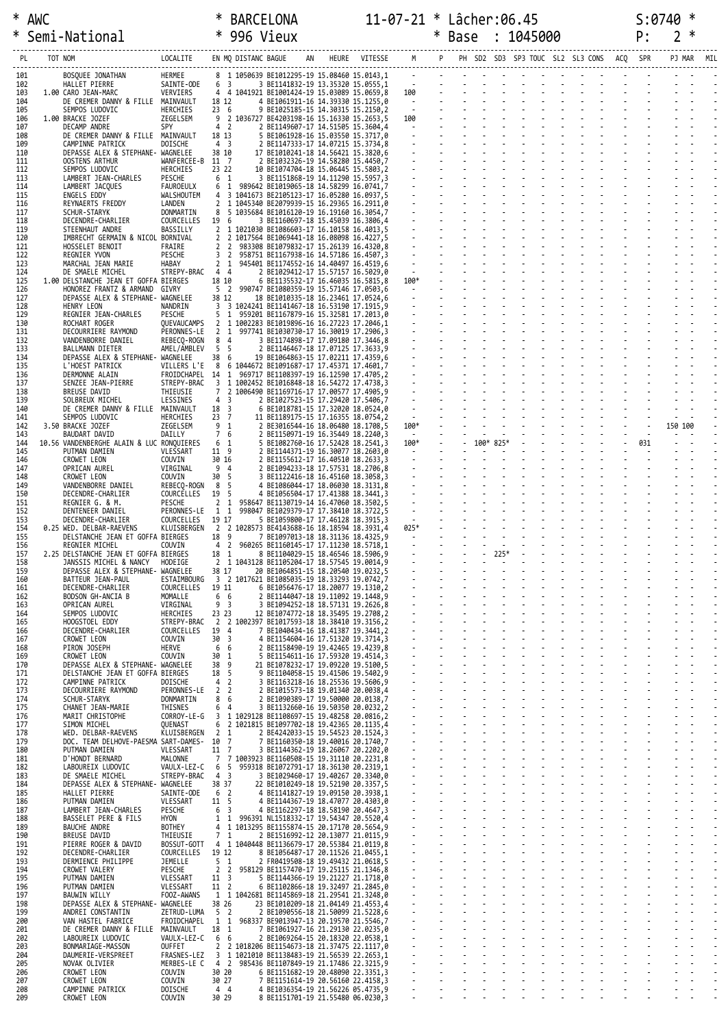# \* AWC \* BARCELONA 11-07-21 \* Lâcher:06.45 S:0740 \* \* Semi-National \* 996 Vieux \* Base : 1045000 P: 2 \*

| PL                | TOT NOM |                                                                                      | LOCALITE                                                               |                                             | EN MQ DISTANC BAGUE |                                                                                   | AN | HEURE VITESSE                                                                                                | M                                                                                          |  |           |  | PH SD2 SD3 SP3 TOUC SL2 SL3 CONS ACQ |     |         |  |
|-------------------|---------|--------------------------------------------------------------------------------------|------------------------------------------------------------------------|---------------------------------------------|---------------------|-----------------------------------------------------------------------------------|----|--------------------------------------------------------------------------------------------------------------|--------------------------------------------------------------------------------------------|--|-----------|--|--------------------------------------|-----|---------|--|
| 101<br>102        |         | BOSQUEE JONATHAN<br>HALLET PIERRE                                                    | HERMEE<br>SAINTE-ODE                                                   | 6 <sup>3</sup>                              |                     |                                                                                   |    | 8 1 1050639 BE1012295-19 15.08460 15.0143,1<br>3 BE1141832-19 13.35320 15.0555.1                             |                                                                                            |  |           |  |                                      |     |         |  |
| 103<br>104        |         | 1.00 CARO JEAN-MARC<br>DE CREMER DANNY & FILLE MAINVAULT                             | VERVIERS                                                               | 18 12                                       |                     |                                                                                   |    | 4 4 1041921 BE1001424-19 15.03089 15.0659,8<br>4 BE1061911-16 14.39330 15.1255,0                             | 100<br>$\mathcal{L}^{\mathcal{L}}(\mathbf{w})$ and $\mathcal{L}^{\mathcal{L}}(\mathbf{w})$ |  |           |  |                                      |     |         |  |
| 105<br>106        |         | SEMPOS LUDOVIC<br>1.00 BRACKE JOZEF                                                  | <b>HERCHIES</b><br>ZEGELSEM                                            | 236                                         |                     | 9 2 1036727 BE4203198-16 15.16330 15.2653,5                                       |    | 9 BE1025185-15 14.30315 15.2150,2                                                                            | 100                                                                                        |  |           |  |                                      |     |         |  |
| 107<br>108        |         | DECAMP ANDRE<br>DE CREMER DANNY & FILLE MAINVAULT                                    | SPY                                                                    | 4 <sup>2</sup><br>18 13                     |                     |                                                                                   |    | 2 BE1149607-17 14.51505 15.3604,4<br>5 BE1061928-16 15.03550 15.3717,0                                       | <b>Contract Contract</b>                                                                   |  |           |  |                                      |     |         |  |
| 109<br>110        |         | CAMPINNE PATRICK<br>DEPASSE ALEX & STEPHANE- WAGNELEE                                | DOISCHE                                                                | 4 <sup>3</sup><br>38 10                     |                     |                                                                                   |    | 2 BE1147333-17 14.07215 15.3734,8<br>17 BE1010241-18 14.56421 15.3820,6                                      |                                                                                            |  |           |  |                                      |     |         |  |
| 111<br>112        |         | OOSTENS ARTHUR<br>SEMPOS LUDOVIC                                                     | WANFERCEE-B 11 7<br>HERCHIES                                           | 23 22                                       |                     |                                                                                   |    | 2 BE1032326-19 14.58280 15.4450,7<br>10 BE1074704-18 15.06445 15.5803,2                                      |                                                                                            |  |           |  |                                      |     |         |  |
| 113<br>114        |         | LAMBERT JEAN-CHARLES<br>LAMBERT JACQUES                                              | PESCHE<br>FAUROEULX                                                    | 6 1<br>6<br>1                               |                     |                                                                                   |    | 3 BE1151868-19 14.11290 15.5957,3<br>989642 BE1019065-18 14.58299 16.0741,7                                  |                                                                                            |  |           |  |                                      |     |         |  |
| 115<br>116        |         | ENGELS EDDY<br>REYNAERTS FREDDY                                                      | WALSHOUTEM<br>LANDEN                                                   | 4                                           |                     |                                                                                   |    | 3 1041673 BE2105123-17 16.05280 16.0937,5<br>2 1 1045340 BE2079939-15 16.29365 16.2911,0                     |                                                                                            |  |           |  |                                      |     |         |  |
| 117<br>118        |         | SCHUR-STARYK<br>DECENDRE-CHARLIER                                                    | DONMARTIN<br>COURCELLES                                                | 8<br>- 5<br>19 6                            |                     | 1035684 BE1016120-19 16.19160 16.3054,7                                           |    | 3 BE1160697-18 15.45039 16.3806,4                                                                            |                                                                                            |  |           |  |                                      |     |         |  |
| 119<br>120        |         | STEENHAUT ANDRE<br>IMBRECHT GERMAIN & NICOL BORNIVAL                                 | BASSILLY                                                               | $\overline{2}$                              |                     |                                                                                   |    | 2 1 1021030 BE1086603-17 16.10158 16.4013,5<br>2 1017564 BE1069441-18 16.08098 16.4227,5                     |                                                                                            |  |           |  |                                      |     |         |  |
| 121<br>122        |         | HOSSELET BENOIT<br>REGNIER YVON                                                      | FRAIRE<br>PESCHE                                                       | 2<br>$\overline{2}$<br>3 2                  |                     |                                                                                   |    | 983308 BE1079832-17 15.26139 16.4320,8<br>958751 BE1167938-16 14.57186 16.4507,3                             |                                                                                            |  |           |  |                                      |     |         |  |
| 123<br>124        |         | MARCHAL JEAN MARIE<br>DE SMAELE MICHEL                                               | <b>HABAY</b><br>STREPY-BRAC                                            | 2 <sub>1</sub><br>4 4                       |                     |                                                                                   |    | 945401 BE1174552-16 14.40497 16.4519,6<br>2 BE1029412-17 15.57157 16.5029,0                                  | $\sim 10^{-10}$                                                                            |  |           |  |                                      |     |         |  |
| 125<br>126        |         | 1.00 DELSTANCHE JEAN ET GOFFA BIERGES<br>HONOREZ FRANTZ & ARMAND GIVRY               |                                                                        | 18 10<br>5 <sub>2</sub>                     |                     |                                                                                   |    | 6 BE1135532-17 16.46035 16.5815,8<br>990747 BE1080359-19 15.57146 17.0503,6                                  | 100*<br>$\sim 10^{-1}$                                                                     |  |           |  |                                      |     |         |  |
| 127<br>128        |         | DEPASSE ALEX & STEPHANE- WAGNELEE<br>HENRY LEON                                      | NANDRIN                                                                | 38 12                                       |                     | 18 BE1010335-18 16.23461 17.0524,6<br>3 3 1024241 BE1141467-18 16.53190 17.1915,9 |    |                                                                                                              |                                                                                            |  |           |  |                                      |     |         |  |
| 129<br>130        |         | REGNIER JEAN-CHARLES<br>ROCHART ROGER                                                | PESCHE<br>QUEVAUCAMPS                                                  | $5 \t1$                                     |                     |                                                                                   |    | 959201 BE1167879-16 15.32581 17.2013,0<br>2 1 1002283 BE1019896-16 16.27223 17.2046,1                        |                                                                                            |  |           |  |                                      |     |         |  |
| 131<br>132        |         | DECOURRIERE RAYMOND<br>VANDENBORRE DANIEL                                            | PERONNES-LE<br>REBECQ-ROGN                                             | 8 4                                         |                     |                                                                                   |    | 2 1 997741 BE1030730-17 16.30019 17.2906,3<br>3 BE1174898-17 17.09180 17.3446,8                              |                                                                                            |  |           |  |                                      |     |         |  |
| 133<br>134        |         | BALLMANN DIETER<br>DEPASSE ALEX & STEPHANE- WAGNELEE                                 | AMEL/AMBLEV                                                            | 5 5<br>38 6                                 |                     |                                                                                   |    | 2 BE1146467-18 17.07125 17.3633,9<br>19 BE1064863-15 17.02211 17.4359,6                                      |                                                                                            |  |           |  |                                      |     |         |  |
| 135<br>136        |         | L'HOEST PATRICK<br>DERMONNE ALAIN                                                    | VILLERS L'E<br>FROIDCHAPEL 14 1 969717 BE1108397-19 16.12590 17.4705,2 |                                             |                     |                                                                                   |    | 8 6 1044672 BE1091687-17 17.45371 17.4601,7                                                                  |                                                                                            |  |           |  |                                      |     |         |  |
| 137<br>138        |         | SENZEE JEAN-PIERRE<br>BREUSE DAVID                                                   | STREPY-BRAC<br>THIEUSIE                                                | 3<br>7                                      |                     |                                                                                   |    | 1 1002452 BE1016848-18 16.54272 17.4738,3<br>2 1006490 BE1169716-17 17.00577 17.4905,9                       |                                                                                            |  |           |  |                                      |     |         |  |
| 139<br>140        |         | SOLBREUX MICHEL<br>DE CREMER DANNY & FILLE MAINVAULT                                 | LESSINES                                                               | 4 <sup>3</sup><br>18 3                      |                     |                                                                                   |    | 2 BE1027523-15 17.29420 17.5406,7<br>6 BE1018781-15 17.32020 18.0524,0                                       |                                                                                            |  |           |  |                                      |     |         |  |
| 141<br>142        |         | SEMPOS LUDOVIC<br>3.50 BRACKE JOZEF                                                  | HERCHIES<br>ZEGELSEM                                                   | 23 7<br>9 <sub>1</sub>                      |                     | 2 BE3016544-16 18.06480 18.1708,5                                                 |    | 11 BE1189175-15 17.16355 18.0754,2                                                                           | 100*                                                                                       |  |           |  |                                      |     | 150 100 |  |
| 143<br>144        |         | BAUDART DAVID<br>10.56 VANDENBERGHE ALAIN & LUC RONQUIERES                           | DAILLY                                                                 | 7 6<br>6 1                                  |                     | 2 BE1150971-19 16.35449 18.2240,3                                                 |    | 5 BE1082760-16 17.52428 18.2541,3                                                                            | $\sim 100$ km s $^{-1}$<br>100*                                                            |  | 100* 825* |  |                                      | 031 |         |  |
| 145<br>146        |         | PUTMAN DAMIEN<br>CROWET LEON                                                         | VLESSART<br>COUVIN                                                     | 11 9<br>30 16                               |                     | 2 BE1144371-19 16.30077 18.2603,0<br>2 BE1155612-17 16.40510 18.2633,3            |    |                                                                                                              | $\sim 10^{-1}$                                                                             |  |           |  |                                      |     |         |  |
| 147<br>148        |         | OPRICAN AUREL<br>CROWET LEON                                                         | VIRGINAL<br>COUVIN                                                     | 9 4<br>30 5                                 |                     | 3 BE1122416-18 16.45160 18.3058,3                                                 |    | 2 BE1094233-18 17.57531 18.2706,8                                                                            |                                                                                            |  |           |  |                                      |     |         |  |
| 149<br>150        |         | VANDENBORRE DANIEL<br>DECENDRE-CHARLIER                                              | REBECQ-ROGN<br>COURCELLES                                              | 8<br>-5<br>- 5<br>19                        |                     | 4 BE1086044-17 18.06030 18.3131,8                                                 |    | 4 BE1056504-17 17.41388 18.3441,3                                                                            |                                                                                            |  |           |  |                                      |     |         |  |
| 151<br>152        |         | REGNIER G. & M.<br>DENTENEER DANIEL                                                  | PESCHE<br>PERONNES-LE                                                  | 2 <sub>1</sub><br>1 1                       |                     |                                                                                   |    | 958647 BE1130719-14 16.47060 18.3502,5<br>998047 BE1029379-17 17.38410 18.3722,5                             |                                                                                            |  |           |  |                                      |     |         |  |
| 153<br>154        |         | DECENDRE-CHARLIER<br>0.25 WED. DELBAR-RAEVENS                                        | COURCELLES<br>KLUISBERGEN                                              | 19 17                                       |                     | 5 BE1059800-17 17.46128 18.3915,3<br>2 2 1028573 BE4143688-16 18.18594 18.3931,4  |    |                                                                                                              | 025*                                                                                       |  |           |  |                                      |     |         |  |
| 155<br>156        |         | DELSTANCHE JEAN ET GOFFA BIERGES<br>REGNIER MICHEL                                   | COUVIN                                                                 | 18 9<br>$\overline{2}$<br>4                 |                     | 7 BE1097013-18 18.31136 18.4325,9                                                 |    | 960265 BE1160145-17 17.11230 18.5718,1                                                                       |                                                                                            |  |           |  |                                      |     |         |  |
| 157<br>158        |         | 2.25 DELSTANCHE JEAN ET GOFFA BIERGES<br>JANSSIS MICHEL & NANCY                      | HODEIGE                                                                | 18 1                                        |                     | 8 BE1104029-15 18.46546 18.5906,9<br>2 1 1043128 BE1105204-17 18.57545 19.0014,9  |    |                                                                                                              |                                                                                            |  | 225*      |  |                                      |     |         |  |
| 159<br>160        |         | DEPASSE ALEX & STEPHANE- WAGNELEE<br>BATTEUR JEAN-PAUL                               | ESTAIMBOURG                                                            | 38 17                                       |                     | 20 BE1064851-15 18.20540 19.0232,5<br>3 2 1017621 BE1085035-19 18.33293 19.0742,7 |    |                                                                                                              |                                                                                            |  |           |  |                                      |     |         |  |
| 161<br>162        |         | DECENDRE-CHARLIER<br>BODSON GH-ANCIA B                                               | COURCELLES<br>MOMALLE                                                  | 19 11<br>66                                 |                     | 6 BE1056476-17 18.20077 19.1310,2<br>2 BE1144047-18 19.11092 19.1448,9            |    |                                                                                                              |                                                                                            |  |           |  |                                      |     |         |  |
| 163<br>164        |         | OPRICAN AUREL<br>SEMPOS LUDOVIC                                                      | VIRGINAL<br>HERCHIES                                                   | 9 <sub>3</sub><br>23 23                     |                     | 3 BE1094252-18 18.57131 19.2626,8                                                 |    | 12 BE1074772-18 18.35495 19.2708,2                                                                           |                                                                                            |  |           |  |                                      |     |         |  |
| 165<br>166        |         | HOOGSTOEL EDDY<br>DECENDRE-CHARLIER                                                  | STREPY-BRAC<br>COURCELLES                                              | 19<br>$\overline{4}$                        |                     |                                                                                   |    | 2 2 1002397 BE1017593-18 18.38410 19.3156,2<br>7 BE1040434-16 18.41387 19.3441,2                             |                                                                                            |  |           |  |                                      |     |         |  |
| 167<br>168        |         | CROWET LEON<br>PIRON JOSEPH                                                          | COUVIN<br>HERVE                                                        | $\overline{\mathbf{3}}$<br>30<br>6<br>6     |                     |                                                                                   |    | 4 BE1154604-16 17.51320 19.3714,3<br>2 BE1158490-19 19.42465 19.4239,8                                       |                                                                                            |  |           |  |                                      |     |         |  |
| 169<br>170<br>171 |         | CROWET LEON<br>DEPASSE ALEX & STEPHANE- WAGNELEE<br>DELSTANCHE JEAN ET GOFFA BIERGES | COUVIN                                                                 | 30<br>1<br>38<br>9<br>5                     |                     |                                                                                   |    | 5 BE1154611-16 17.59320 19.4514,3<br>21 BE1078232-17 19.09220 19.5100,5<br>9 BE1104058-15 19.41506 19.5402,9 |                                                                                            |  |           |  |                                      |     |         |  |
| 172<br>173        |         | CAMPINNE PATRICK                                                                     | <b>DOISCHE</b>                                                         | 18<br>4 <sup>2</sup><br>$\overline{2}$<br>2 |                     |                                                                                   |    | 3 BE1163218-16 18.25536 19.5606.9<br>2 BE1015573-18 19.01340 20.0038,4                                       |                                                                                            |  |           |  |                                      |     |         |  |
| 174<br>175        |         | DECOURRIERE RAYMOND<br>SCHUR-STARYK<br>CHANET JEAN-MARIE                             | PERONNES-LE<br>DONMARTIN<br>THISNES                                    | 8<br>6<br>6<br>$\overline{4}$               |                     |                                                                                   |    | 2 BE1090389-17 19.50000 20.0138,7<br>3 BE1132660-16 19.50350 20.0232,2                                       |                                                                                            |  |           |  |                                      |     |         |  |
| 176<br>177        |         | MARIT CHRISTOPHE<br>SIMON MICHEL                                                     | CORROY-LE-G<br>QUENAST                                                 | 3                                           |                     |                                                                                   |    | 1 1029128 BE1108697-15 19.48258 20.0816,2<br>6 2 1021815 BE1097702-18 19.42365 20.1135,4                     |                                                                                            |  |           |  |                                      |     |         |  |
| 178<br>179        |         | WED. DELBAR-RAEVENS<br>DOC. TEAM DELHOVE-PAESMA SART-DAMES- 10 7                     | KLUISBERGEN                                                            | 2 <sub>1</sub>                              |                     |                                                                                   |    | 2 BE4242033-15 19.54523 20.1524,3<br>7 BE1160350-18 19.40016 20.1740,7                                       |                                                                                            |  |           |  |                                      |     |         |  |
| 180<br>181        |         | PUTMAN DAMIEN<br>D'HONDT BERNARD                                                     | VLESSART<br>MALONNE                                                    | 11 7                                        |                     |                                                                                   |    | 3 BE1144362-19 18.26067 20.2202,0<br>7 7 1003923 BE1160508-15 19.31110 20.2231,8                             |                                                                                            |  |           |  |                                      |     |         |  |
| 182<br>183        |         | LABOUREIX LUDOVIC<br>DE SMAELE MICHEL                                                | VAULX-LEZ-C<br>STREPY-BRAC                                             | 6 5<br>4 3                                  |                     |                                                                                   |    | 959318 BE1072791-17 18.36130 20.2319,1<br>3 BE1029460-17 19.40267 20.3340,0                                  |                                                                                            |  |           |  |                                      |     |         |  |
| 184<br>185        |         | DEPASSE ALEX & STEPHANE- WAGNELEE<br>HALLET PIERRE                                   | SAINTE-ODE                                                             | 38 37<br>6 2                                |                     |                                                                                   |    | 22 BE1010249-18 19.52190 20.3357,5<br>4 BE1141827-19 19.09150 20.3938,1                                      |                                                                                            |  |           |  |                                      |     |         |  |
| 186<br>187        |         | PUTMAN DAMIEN<br>LAMBERT JEAN-CHARLES                                                | VLESSART<br>PESCHE                                                     | 11 <sub>5</sub><br>6 <sup>3</sup>           |                     |                                                                                   |    | 4 BE1144367-19 18.47077 20.4303,0<br>4 BE1162297-18 18.58190 20.4647,3                                       |                                                                                            |  |           |  |                                      |     |         |  |
| 188<br>189        |         | BASSELET PERE & FILS<br><b>BAUCHE ANDRE</b>                                          | HYON<br>BOTHEY                                                         | 1                                           | 1                   |                                                                                   |    | 996391 NL1518332-17 19.54347 20.5520,4<br>4 1 1013295 BE1155874-15 20.17170 20.5654,9                        |                                                                                            |  |           |  |                                      |     |         |  |
| 190<br>191        |         | BREUSE DAVID<br>PIERRE ROGER & DAVID                                                 | THIEUSIE<br>BOSSUT-GOTT                                                | 7 <sub>1</sub>                              |                     |                                                                                   |    | 2 BE1516992-12 20.13077 21.0115,9<br>4 1 1040448 BE1136679-17 20.55384 21.0119,8                             |                                                                                            |  |           |  |                                      |     |         |  |
| 192<br>193        |         | DECENDRE-CHARLIER<br>DERMIENCE PHILIPPE                                              | COURCELLES<br>JEMELLE                                                  | 19 12<br>5 <sub>1</sub>                     |                     |                                                                                   |    | 8 BE1056487-17 20.11526 21.0455,1<br>2 FR0419508-18 19.49432 21.0618,5                                       |                                                                                            |  |           |  |                                      |     |         |  |
| 194<br>195        |         | CROWET VALERY<br>PUTMAN DAMIEN                                                       | PESCHE<br>VLESSART                                                     | 2 <sub>2</sub><br>11 <sup>3</sup>           |                     |                                                                                   |    | 958129 BE1157470-17 19.25115 21.1346,8<br>5 BE1144366-19 19.21227 21.1718,0                                  |                                                                                            |  |           |  |                                      |     |         |  |
| 196<br>197        |         | PUTMAN DAMIEN<br><b>BAUWIN WILLY</b>                                                 | VLESSART<br>FOOZ-AWANS                                                 | 11 <sup>2</sup>                             |                     |                                                                                   |    | 6 BE1102866-18 19.32497 21.2845,0<br>1 1 1042681 BE1145869-18 21.29541 21.3248,0                             |                                                                                            |  |           |  |                                      |     |         |  |
| 198<br>199        |         | DEPASSE ALEX & STEPHANE- WAGNELEE<br>ANDREI CONSTANTIN                               | ZETRUD-LUMA                                                            | 38 26<br>5 2                                |                     |                                                                                   |    | 23 BE1010209-18 21.04149 21.4553,4<br>2 BE1090556-18 21.50099 21.5228,6                                      |                                                                                            |  |           |  |                                      |     |         |  |
| 200<br>201        |         | VAN HASTEL FABRICE<br>DE CREMER DANNY & FILLE MAINVAULT                              | FROIDCHAPEL                                                            | 18 1                                        |                     |                                                                                   |    | 1 1 968337 BE9013947-13 20.19570 21.5546,7<br>7 BE1061927-16 21.29130 22.0235,0                              |                                                                                            |  |           |  |                                      |     |         |  |
| 202<br>203        |         | LABOUREIX LUDOVIC<br>BONMARIAGE-MASSON                                               | VAULX-LEZ-C<br>OUFFET                                                  | 6 6<br>2                                    |                     |                                                                                   |    | 2 BE1069264-15 20.18320 22.0538,1<br>2 1018206 BE1154673-18 21.37475 22.1117,0                               |                                                                                            |  |           |  |                                      |     |         |  |
| 204<br>205        |         | DAUMERIE-VERSPREET<br>NOVAK OLIVIER                                                  | FRASNES-LEZ<br>MERBES-LE C                                             |                                             |                     |                                                                                   |    | 3 1 1021010 BE1138483-19 21.56539 22.2653,1<br>4 2 985436 BE1107849-19 21.17486 22.3215,9                    |                                                                                            |  |           |  |                                      |     |         |  |
| 206<br>207        |         | CROWET LEON<br>CROWET LEON                                                           | COUVIN<br>COUVIN                                                       | 30 20<br>30 27                              |                     |                                                                                   |    | 6 BE1151682-19 20.48090 22.3351,3<br>7 BE1151614-19 20.56160 22.4158,3                                       |                                                                                            |  |           |  |                                      |     |         |  |
| 208<br>209        |         | CAMPINNE PATRICK<br>CROWET LEON                                                      | <b>DOISCHE</b><br>COUVIN                                               | 4 4<br>30 29                                |                     | 4 BE1036354-19 21.56226 05.4735,9                                                 |    | 8 BE1151701-19 21.55480 06.0230,3                                                                            |                                                                                            |  |           |  |                                      |     |         |  |